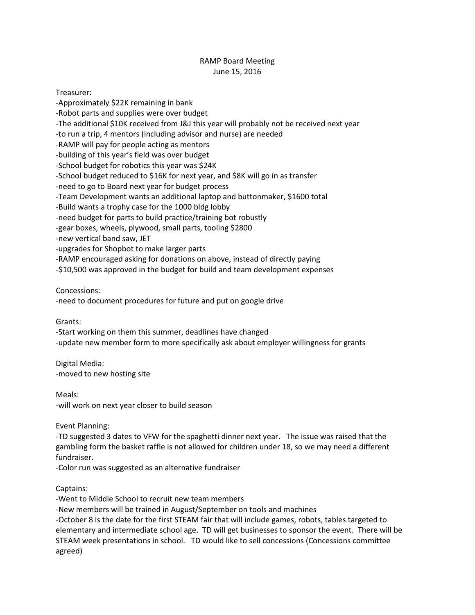## RAMP Board Meeting June 15, 2016

Treasurer: -Approximately \$22K remaining in bank -Robot parts and supplies were over budget -The additional \$10K received from J&J this year will probably not be received next year -to run a trip, 4 mentors (including advisor and nurse) are needed -RAMP will pay for people acting as mentors -building of this year's field was over budget -School budget for robotics this year was \$24K -School budget reduced to \$16K for next year, and \$8K will go in as transfer -need to go to Board next year for budget process -Team Development wants an additional laptop and buttonmaker, \$1600 total -Build wants a trophy case for the 1000 bldg lobby -need budget for parts to build practice/training bot robustly -gear boxes, wheels, plywood, small parts, tooling \$2800 -new vertical band saw, JET -upgrades for Shopbot to make larger parts -RAMP encouraged asking for donations on above, instead of directly paying -\$10,500 was approved in the budget for build and team development expenses

Concessions:

-need to document procedures for future and put on google drive

Grants:

-Start working on them this summer, deadlines have changed

-update new member form to more specifically ask about employer willingness for grants

Digital Media: -moved to new hosting site

Meals: -will work on next year closer to build season

Event Planning:

-TD suggested 3 dates to VFW for the spaghetti dinner next year. The issue was raised that the gambling form the basket raffle is not allowed for children under 18, so we may need a different fundraiser.

-Color run was suggested as an alternative fundraiser

Captains:

-Went to Middle School to recruit new team members

-New members will be trained in August/September on tools and machines

-October 8 is the date for the first STEAM fair that will include games, robots, tables targeted to elementary and intermediate school age. TD will get businesses to sponsor the event. There will be STEAM week presentations in school. TD would like to sell concessions (Concessions committee agreed)